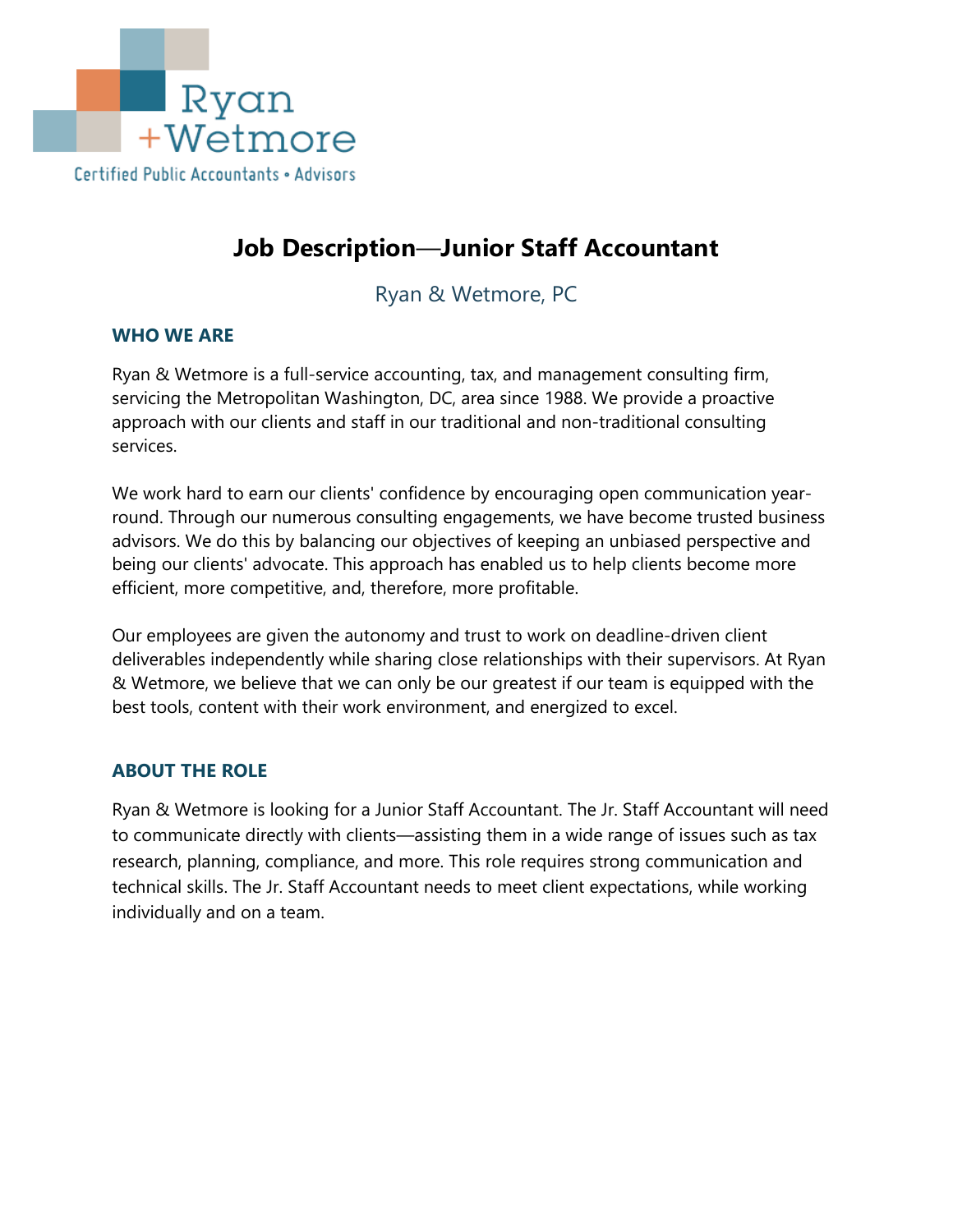

# **Job Description**—**Junior Staff Accountant**

Ryan & Wetmore, PC

#### **WHO WE ARE**

Ryan & Wetmore is a full-service accounting, tax, and management consulting firm, servicing the Metropolitan Washington, DC, area since 1988. We provide a proactive approach with our clients and staff in our traditional and non-traditional consulting services.

We work hard to earn our clients' confidence by encouraging open communication yearround. Through our numerous consulting engagements, we have become trusted business advisors. We do this by balancing our objectives of keeping an unbiased perspective and being our clients' advocate. This approach has enabled us to help clients become more efficient, more competitive, and, therefore, more profitable.

Our employees are given the autonomy and trust to work on deadline-driven client deliverables independently while sharing close relationships with their supervisors. At Ryan & Wetmore, we believe that we can only be our greatest if our team is equipped with the best tools, content with their work environment, and energized to excel.

## **ABOUT THE ROLE**

Ryan & Wetmore is looking for a Junior Staff Accountant. The Jr. Staff Accountant will need to communicate directly with clients—assisting them in a wide range of issues such as tax research, planning, compliance, and more. This role requires strong communication and technical skills. The Jr. Staff Accountant needs to meet client expectations, while working individually and on a team.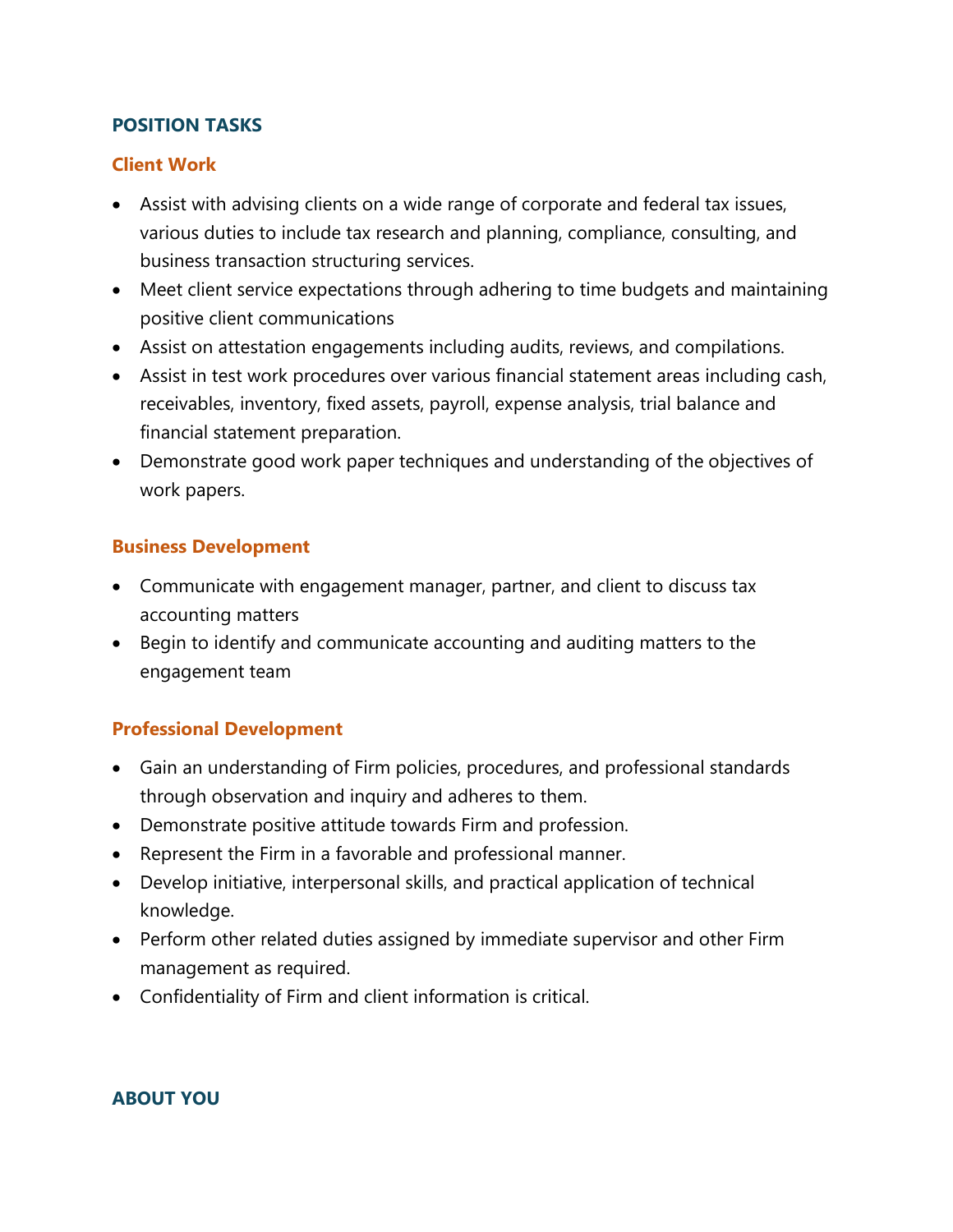### **POSITION TASKS**

#### **Client Work**

- Assist with advising clients on a wide range of corporate and federal tax issues, various duties to include tax research and planning, compliance, consulting, and business transaction structuring services.
- Meet client service expectations through adhering to time budgets and maintaining positive client communications
- Assist on attestation engagements including audits, reviews, and compilations.
- Assist in test work procedures over various financial statement areas including cash, receivables, inventory, fixed assets, payroll, expense analysis, trial balance and financial statement preparation.
- Demonstrate good work paper techniques and understanding of the objectives of work papers.

#### **Business Development**

- Communicate with engagement manager, partner, and client to discuss tax accounting matters
- Begin to identify and communicate accounting and auditing matters to the engagement team

## **Professional Development**

- Gain an understanding of Firm policies, procedures, and professional standards through observation and inquiry and adheres to them.
- Demonstrate positive attitude towards Firm and profession.
- Represent the Firm in a favorable and professional manner.
- Develop initiative, interpersonal skills, and practical application of technical knowledge.
- Perform other related duties assigned by immediate supervisor and other Firm management as required.
- Confidentiality of Firm and client information is critical.

## **ABOUT YOU**